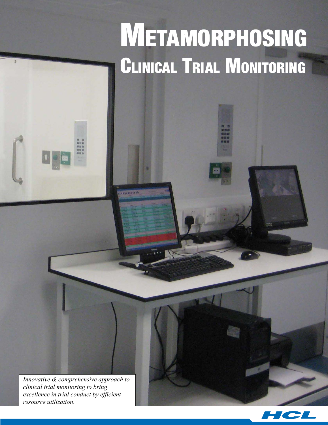# Metamorphosing CLINICAL TRIAL MONITORING

*Innovative & comprehensive approach to clinical trial monitoring to bring excellence in trial conduct by efficient resource utilization.*

**...........** 

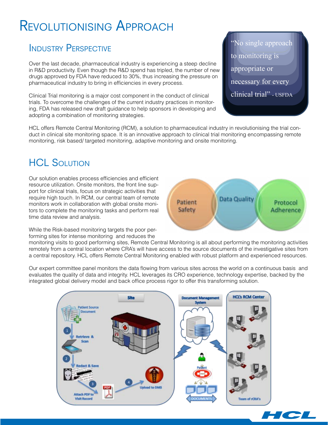### Revolutionising Approach

#### Industry Perspective

Over the last decade, pharmaceutical industry is experiencing a steep decline in R&D productivity. Even though the R&D spend has tripled, the number of new drugs approved by FDA have reduced to 30%, thus increasing the pressure on pharmaceutical industry to bring in efficiencies in every process.

Clinical Trial monitoring is a major cost component in the conduct of clinical trials. To overcome the challenges of the current industry practices in monitoring, FDA has released new draft guidance to help sponsors in developing and adopting a combination of monitoring strategies.

"No single approach to monitoring is appropriate or necessary for every clinical trial" - USFDA

HCL offers Remote Central Monitoring (RCM), a solution to pharmaceutical industry in revolutionising the trial conduct in clinical site monitoring space. It is an innovative approach to clinical trial monitoring encompassing remote monitoring, risk based/ targeted monitoring, adaptive monitoring and onsite monitoring.

#### **HCL SOLUTION**

Our solution enables process efficiencies and efficient resource utilization. Onsite monitors, the front line support for clinical trials, focus on strategic activities that require high touch. In RCM, our central team of remote monitors work in collaboration with global onsite monitors to complete the monitoring tasks and perform real time data review and analysis.

While the Risk-based monitoring targets the poor performing sites for intense monitoring and reduces the

monitoring visits to good performing sites, Remote Central Monitoring is all about performing the monitoring activities remotely from a central location where CRA's will have access to the source documents of the investigative sites from a central repository. HCL offers Remote Central Monitoring enabled with robust platform and experienced resources.

Our expert committee panel monitors the data flowing from various sites across the world on a continuous basis and evaluates the quality of data and integrity. HCL leverages its CRO experience, technology expertise, backed by the integrated global delivery model and back office process rigor to offer this transforming solution.